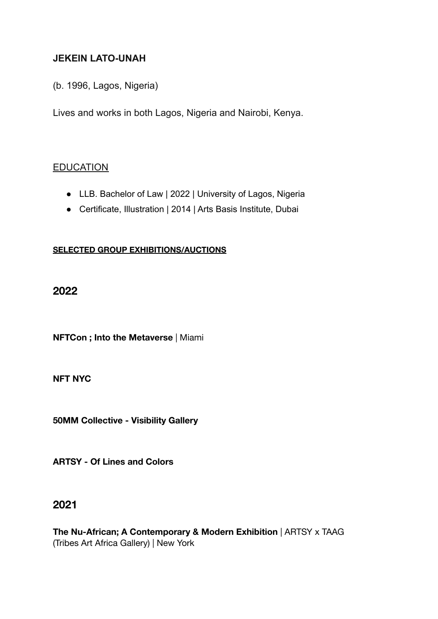## **JEKEIN LATO-UNAH**

(b. 1996, Lagos, Nigeria)

Lives and works in both Lagos, Nigeria and Nairobi, Kenya.

#### **EDUCATION**

- LLB. Bachelor of Law | 2022 | University of Lagos, Nigeria
- Certificate, Illustration | 2014 | Arts Basis Institute, Dubai

#### **SELECTED GROUP EXHIBITIONS/AUCTIONS**

#### **2022**

**NFTCon ; Into the Metaverse** | Miami

**NFT NYC**

**50MM Collective - Visibility Gallery**

**ARTSY - Of Lines and Colors**

## **2021**

**The Nu-African; A Contemporary & Modern Exhibition** | ARTSY x TAAG (Tribes Art Africa Gallery) | New York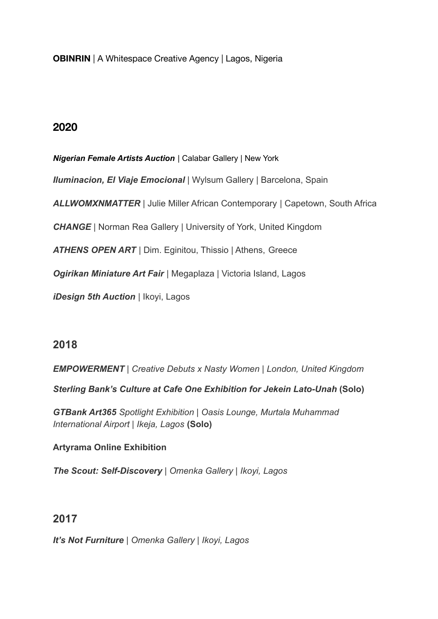**OBINRIN** | A Whitespace Creative Agency | Lagos, Nigeria

# **2020**

## *Nigerian Female Artists Auction* | Calabar Gallery | New York

*Iluminacion, El Viaje Emocional* | Wylsum Gallery | Barcelona, Spain

*ALLWOMXNMATTER* | Julie Miller African Contemporary | Capetown, South Africa

*CHANGE* | Norman Rea Gallery | University of York, United Kingdom

*ATHENS OPEN ART* | Dim. Eginitou, Thissio | Athens, Greece

*Ogirikan Miniature Art Fair* | Megaplaza | Victoria Island, Lagos

*iDesign 5th Auction* | Ikoyi, Lagos

## **2018**

*EMPOWERMENT | Creative Debuts x Nasty Women | London, United Kingdom*

*Sterling Bank's Culture at Cafe One Exhibition for Jekein Lato-Unah* **(Solo)**

*GTBank Art365 Spotlight Exhibition | Oasis Lounge, Murtala Muhammad International Airport | Ikeja, Lagos* **(Solo)**

## **Artyrama Online Exhibition**

*The Scout: Self-Discovery | Omenka Gallery | Ikoyi, Lagos*

# **2017**

*It's Not Furniture | Omenka Gallery | Ikoyi, Lagos*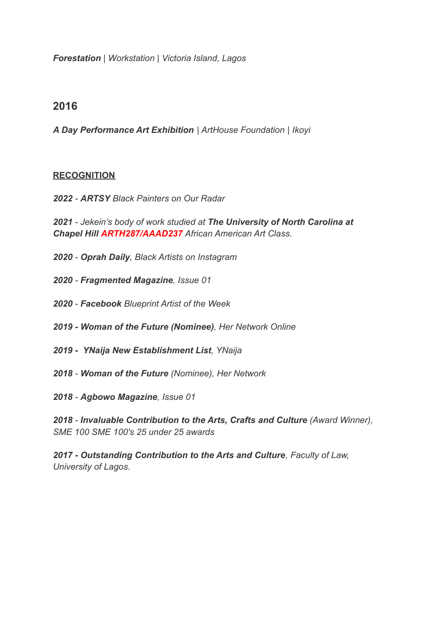*Forestation | Workstation | Victoria Island, Lagos*

## **2016**

*A Day Performance Art Exhibition | ArtHouse Foundation | Ikoyi*

#### **RECOGNITION**

*2022 - ARTSY Black Painters on Our Radar*

*2021 - Jekein's body of work studied at The University of North Carolina at Chapel Hill ARTH287/AAAD237 African American Art Class.*

- *2020 - Oprah Daily, Black Artists on Instagram*
- *2020 - Fragmented Magazine, Issue 01*
- *2020 - Facebook Blueprint Artist of the Week*
- *2019 Woman of the Future (Nominee), Her Network Online*
- *2019 - [YNaija New Establishment List](https://ynaija.com/quddus-king-benita-nnachortam-jekein-lato-unah-mary-edoro-here-is-the-y-ynaija-2018-new-establishment-list/), YNaija*
- *2018 - [Woman of the Future](https://www.bellanaija.com/2018/11/her-network-woman-of-the-year-awards/) (Nominee), Her Network*
- *2018 - Agbowo Magazine, Issue 01*

*2018 - [Invaluable Contribution to the Arts, Crafts](http://100talks.ng/past-winners/) and Culture (Award Winner), SME 100 SME 100's 25 under 25 awards*

*2017 - Outstanding Contribution to the Arts and Culture, Faculty of Law, University of Lagos.*